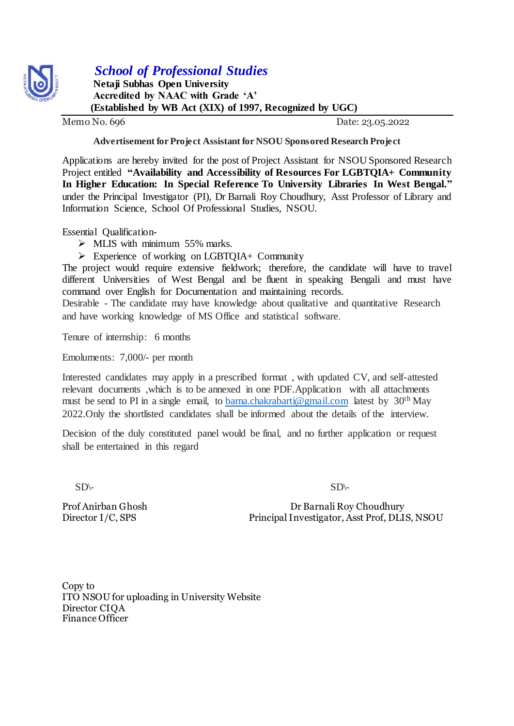

## *School of Professional Studies*

 **Netaji Subhas Open University Accredited by NAAC with Grade 'A' (Established by WB Act (XIX) of 1997, Recognized by UGC)**

Memo No. 696 Date: 23.05.2022

## **Advertisement for Project Assistant for NSOU Sponsored Research Project**

Applications are hereby invited for the post of Project Assistant for NSOU Sponsored Research Project entitled **"Availability and Accessibility of Resources For LGBTQIA+ Community In Higher Education: In Special Reference To University Libraries In West Bengal."** under the Principal Investigator (PI), Dr Barnali Roy Choudhury, Asst Professor of Library and Information Science, School Of Professional Studies, NSOU.

Essential Qualification-

 $\triangleright$  MLIS with minimum 55% marks.

 $\triangleright$  Experience of working on LGBTOIA+ Community

The project would require extensive fieldwork; therefore, the candidate will have to travel different Universities of West Bengal and be fluent in speaking Bengali and must have command over English for Documentation and maintaining records.

Desirable - The candidate may have knowledge about qualitative and quantitative Research and have working knowledge of MS Office and statistical software.

Tenure of internship: 6 months

Emoluments: 7,000/- per month

Interested candidates may apply in a prescribed format , with updated CV, and self-attested relevant documents ,which is to be annexed in one PDF.Application with all attachments must be send to PI in a single email, to [barna.chakrabarti@gmail.com](mailto:barna.chakrabarti@gmail.com) latest by  $30<sup>th</sup>$  May 2022.Only the shortlisted candidates shall be informed about the details of the interview.

Decision of the duly constituted panel would be final, and no further application or request shall be entertained in this regard

 $SD\leftarrow$ 

Prof Anirban Ghosh Dr Barnali Roy Choudhury Director I/C, SPS Principal Investigator, Asst Prof, DLIS, NSOU

Copy to ITO NSOU for uploading in University Website Director CIQA Finance Officer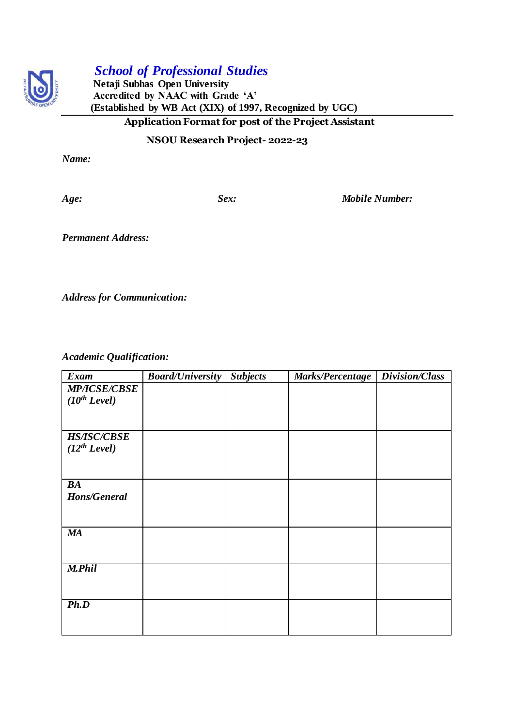

## *School of Professional Studies*

 **Netaji Subhas Open University Accredited by NAAC with Grade 'A' (Established by WB Act (XIX) of 1997, Recognized by UGC) Application Format for post of the Project Assistant** 

 **NSOU Research Project- 2022-23**

*Name:*

*Age: Sex: Mobile Number:*

*Permanent Address:*

*Address for Communication:*

*Academic Qualification:*

| Exam                     | <b>Board/University</b> | <b>Subjects</b> | Marks/Percentage | Division/Class |
|--------------------------|-------------------------|-----------------|------------------|----------------|
| <b>MP/ICSE/CBSE</b>      |                         |                 |                  |                |
| (10 <sup>th</sup> Level) |                         |                 |                  |                |
|                          |                         |                 |                  |                |
|                          |                         |                 |                  |                |
| <b>HS/ISC/CBSE</b>       |                         |                 |                  |                |
| $(12^{th} \text{Level})$ |                         |                 |                  |                |
|                          |                         |                 |                  |                |
|                          |                         |                 |                  |                |
| BA                       |                         |                 |                  |                |
| Hons/General             |                         |                 |                  |                |
|                          |                         |                 |                  |                |
|                          |                         |                 |                  |                |
| <b>MA</b>                |                         |                 |                  |                |
|                          |                         |                 |                  |                |
|                          |                         |                 |                  |                |
| <b>M.Phil</b>            |                         |                 |                  |                |
|                          |                         |                 |                  |                |
|                          |                         |                 |                  |                |
| Ph.D                     |                         |                 |                  |                |
|                          |                         |                 |                  |                |
|                          |                         |                 |                  |                |
|                          |                         |                 |                  |                |